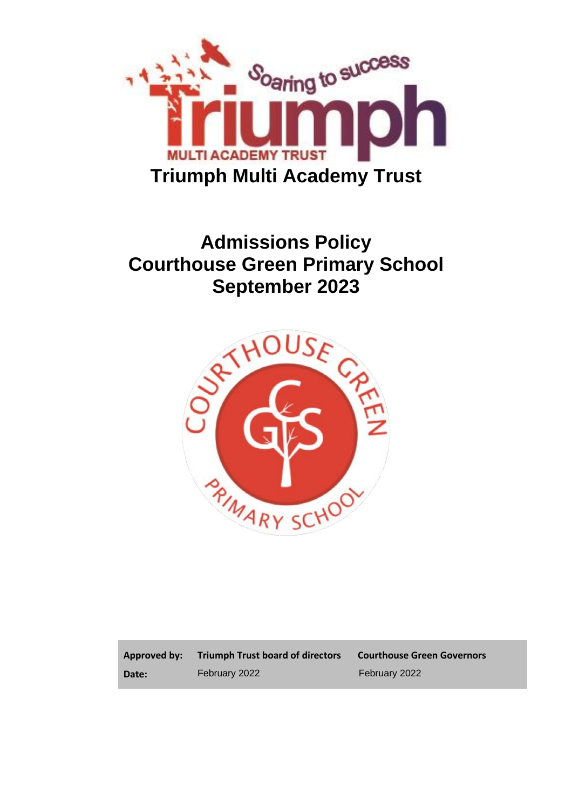

# **Admissions Policy Courthouse Green Primary School September 2023**



**Approved by: Date:**

**Triumph Trust board of directors Courthouse Green Governors** February 2022 February 2022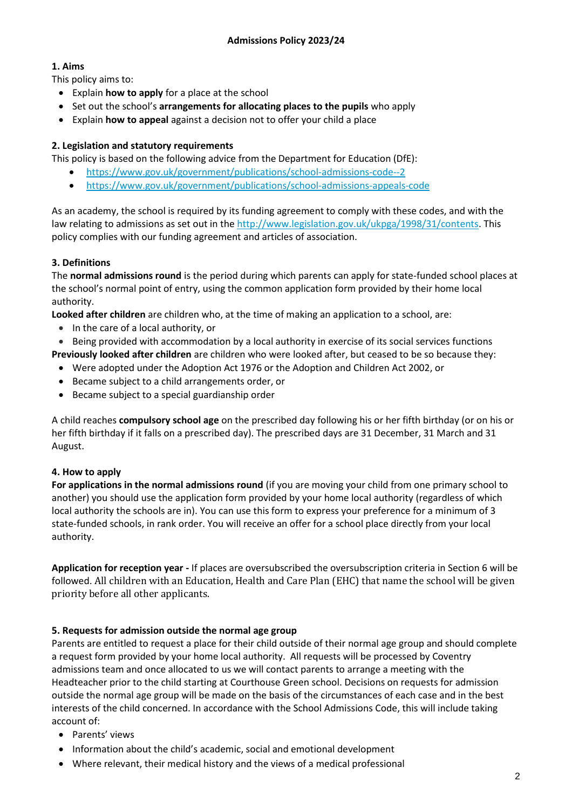# **1. Aims**

This policy aims to:

- Explain **how to apply** for a place at the school
- Set out the school's **arrangements for allocating places to the pupils** who apply
- Explain **how to appeal** against a decision not to offer your child a place

## **2. Legislation and statutory requirements**

This policy is based on the following advice from the Department for Education (DfE):

- <https://www.gov.uk/government/publications/school-admissions-code--2>
- <https://www.gov.uk/government/publications/school-admissions-appeals-code>

As an academy, the school is required by its funding agreement to comply with these codes, and with the law relating to admissions as set out in th[e http://www.legislation.gov.uk/ukpga/1998/31/contents.](http://www.legislation.gov.uk/ukpga/1998/31/contents) This policy complies with our funding agreement and articles of association.

## **3. Definitions**

The **normal admissions round** is the period during which parents can apply for state-funded school places at the school's normal point of entry, using the common application form provided by their home local authority.

**Looked after children** are children who, at the time of making an application to a school, are:

- In the care of a local authority, or
- Being provided with accommodation by a local authority in exercise of its social services functions

**Previously looked after children** are children who were looked after, but ceased to be so because they:

- Were adopted under the Adoption Act 1976 or the Adoption and Children Act 2002, or
- Became subject to a child arrangements order, or
- Became subject to a special guardianship order

A child reaches **compulsory school age** on the prescribed day following his or her fifth birthday (or on his or her fifth birthday if it falls on a prescribed day). The prescribed days are 31 December, 31 March and 31 August.

# **4. How to apply**

**For applications in the normal admissions round** (if you are moving your child from one primary school to another) you should use the application form provided by your home local authority (regardless of which local authority the schools are in). You can use this form to express your preference for a minimum of 3 state-funded schools, in rank order. You will receive an offer for a school place directly from your local authority.

**Application for reception year -** If places are oversubscribed the oversubscription criteria in Section 6 will be followed. All children with an Education, Health and Care Plan (EHC) that name the school will be given priority before all other applicants.

# **5. Requests for admission outside the normal age group**

Parents are entitled to request a place for their child outside of their normal age group and should complete a request form provided by your home local authority. All requests will be processed by Coventry admissions team and once allocated to us we will contact parents to arrange a meeting with the Headteacher prior to the child starting at Courthouse Green school. Decisions on requests for admission outside the normal age group will be made on the basis of the circumstances of each case and in the best interests of the child concerned. In accordance with the School Admissions Code, this will include taking account of:

- Parents' views
- Information about the child's academic, social and emotional development
- Where relevant, their medical history and the views of a medical professional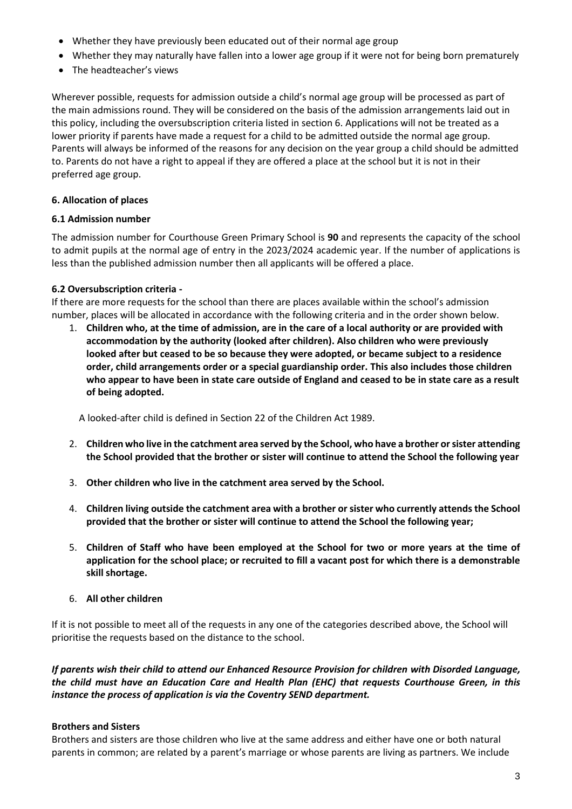- Whether they have previously been educated out of their normal age group
- Whether they may naturally have fallen into a lower age group if it were not for being born prematurely
- The headteacher's views

Wherever possible, requests for admission outside a child's normal age group will be processed as part of the main admissions round. They will be considered on the basis of the admission arrangements laid out in this policy, including the oversubscription criteria listed in section 6. Applications will not be treated as a lower priority if parents have made a request for a child to be admitted outside the normal age group. Parents will always be informed of the reasons for any decision on the year group a child should be admitted to. Parents do not have a right to appeal if they are offered a place at the school but it is not in their preferred age group.

## **6. Allocation of places**

#### **6.1 Admission number**

The admission number for Courthouse Green Primary School is **90** and represents the capacity of the school to admit pupils at the normal age of entry in the 2023/2024 academic year. If the number of applications is less than the published admission number then all applicants will be offered a place.

#### **6.2 Oversubscription criteria -**

If there are more requests for the school than there are places available within the school's admission number, places will be allocated in accordance with the following criteria and in the order shown below.

1. **Children who, at the time of admission, are in the care of a local authority or are provided with accommodation by the authority (looked after children). Also children who were previously looked after but ceased to be so because they were adopted, or became subject to a residence order, child arrangements order or a special guardianship order. This also includes those children** who appear to have been in state care outside of England and ceased to be in state care as a result **of being adopted.**

A looked-after child is defined in Section 22 of the Children Act 1989.

- 2. **Children who live in the catchment area served by the School, who have a brother or sister attending the School provided that the brother or sister will continue to attend the School the following year**
- 3. **Other children who live in the catchment area served by the School.**
- 4. **Children living outside the catchment area with a brother or sister who currently attends the School provided that the brother or sister will continue to attend the School the following year;**
- 5. **Children of Staff who have been employed at the School for two or more years at the time of application for the school place; or recruited to fill a vacant post for which there is a demonstrable skill shortage.**
- 6. **All other children**

If it is not possible to meet all of the requests in any one of the categories described above, the School will prioritise the requests based on the distance to the school.

*If parents wish their child to attend our Enhanced Resource Provision for children with Disorded Language, the child must have an Education Care and Health Plan (EHC) that requests Courthouse Green, in this instance the process of application is via the Coventry SEND department.*

#### **Brothers and Sisters**

Brothers and sisters are those children who live at the same address and either have one or both natural parents in common; are related by a parent's marriage or whose parents are living as partners. We include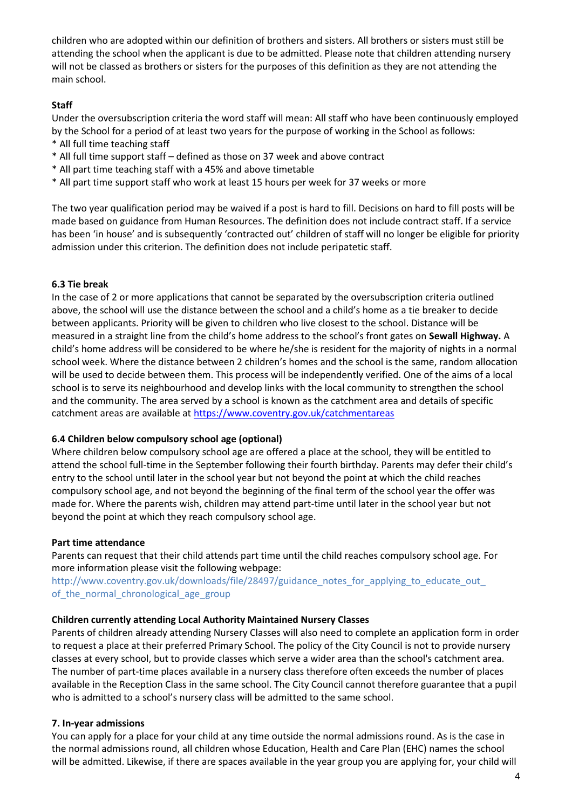children who are adopted within our definition of brothers and sisters. All brothers or sisters must still be attending the school when the applicant is due to be admitted. Please note that children attending nursery will not be classed as brothers or sisters for the purposes of this definition as they are not attending the main school.

#### **Staff**

Under the oversubscription criteria the word staff will mean: All staff who have been continuously employed by the School for a period of at least two years for the purpose of working in the School as follows: \* All full time teaching staff

- \* All full time support staff defined as those on 37 week and above contract
- \* All part time teaching staff with a 45% and above timetable
- \* All part time support staff who work at least 15 hours per week for 37 weeks or more

The two year qualification period may be waived if a post is hard to fill. Decisions on hard to fill posts will be made based on guidance from Human Resources. The definition does not include contract staff. If a service has been 'in house' and is subsequently 'contracted out' children of staff will no longer be eligible for priority admission under this criterion. The definition does not include peripatetic staff.

#### **6.3 Tie break**

In the case of 2 or more applications that cannot be separated by the oversubscription criteria outlined above, the school will use the distance between the school and a child's home as a tie breaker to decide between applicants. Priority will be given to children who live closest to the school. Distance will be measured in a straight line from the child's home address to the school's front gates on **Sewall Highway.** A child's home address will be considered to be where he/she is resident for the majority of nights in a normal school week. Where the distance between 2 children's homes and the school is the same, random allocation will be used to decide between them. This process will be independently verified. One of the aims of a local school is to serve its neighbourhood and develop links with the local community to strengthen the school and the community. The area served by a school is known as the catchment area and details of specific catchment areas are available at<https://www.coventry.gov.uk/catchmentareas>

#### **6.4 Children below compulsory school age (optional)**

Where children below compulsory school age are offered a place at the school, they will be entitled to attend the school full-time in the September following their fourth birthday. Parents may defer their child's entry to the school until later in the school year but not beyond the point at which the child reaches compulsory school age, and not beyond the beginning of the final term of the school year the offer was made for. Where the parents wish, children may attend part-time until later in the school year but not beyond the point at which they reach compulsory school age.

#### **Part time attendance**

Parents can request that their child attends part time until the child reaches compulsory school age. For more information please visit the following webpage:

http://www.coventry.gov.uk/downloads/file/28497/guidance\_notes\_for\_applying\_to\_educate\_out\_ of the normal chronological age group

#### **Children currently attending Local Authority Maintained Nursery Classes**

Parents of children already attending Nursery Classes will also need to complete an application form in order to request a place at their preferred Primary School. The policy of the City Council is not to provide nursery classes at every school, but to provide classes which serve a wider area than the school's catchment area. The number of part-time places available in a nursery class therefore often exceeds the number of places available in the Reception Class in the same school. The City Council cannot therefore guarantee that a pupil who is admitted to a school's nursery class will be admitted to the same school.

#### **7. In-year admissions**

You can apply for a place for your child at any time outside the normal admissions round. As is the case in the normal admissions round, all children whose Education, Health and Care Plan (EHC) names the school will be admitted. Likewise, if there are spaces available in the year group you are applying for, your child will